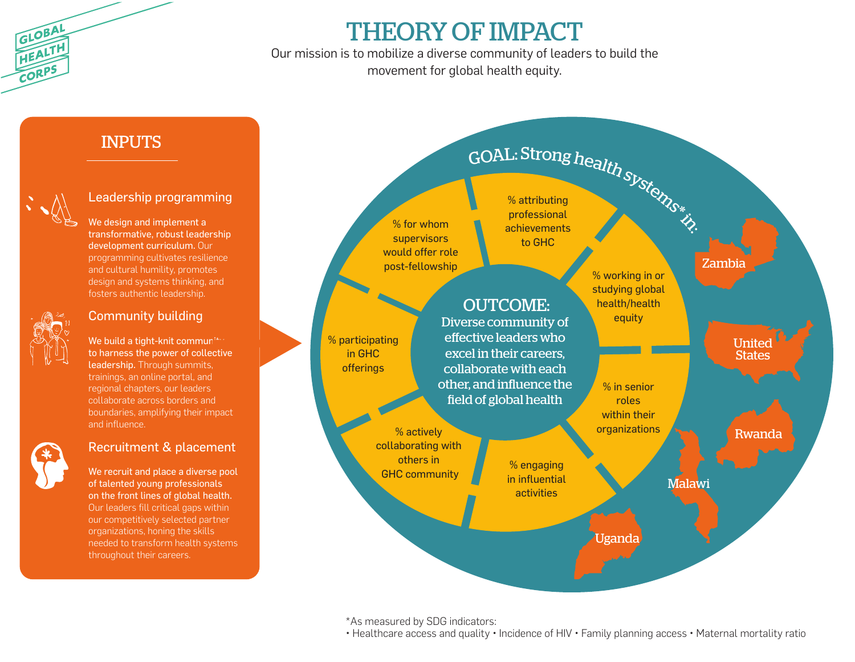

## THEORY OF IMPACT

Our mission is to mobilize a diverse community of leaders to build the movement for global health equity.

### INPUTS



#### Leadership programming

We design and implement a transformative, robust leadership development curriculum. Our programming cultivates resilience and cultural humility, promotes design and systems thinking, and fosters authentic leadership.



#### Community building

We build a tight-knit commun<sup>11</sup> to harness the power of collective leadership. Through summits, trainings, an online portal, and regional chapters, our leaders collaborate across borders and boundaries, amplifying their impact and influence.



#### Recruitment & placement

We recruit and place a diverse pool of talented young professionals on the front lines of global health. Our leaders fill critical gaps within our competitively selected partner organizations, honing the skills needed to transform health systems throughout their careers.



\*As measured by SDG indicators:

• Healthcare access and quality • Incidence of HIV • Family planning access • Maternal mortality ratio